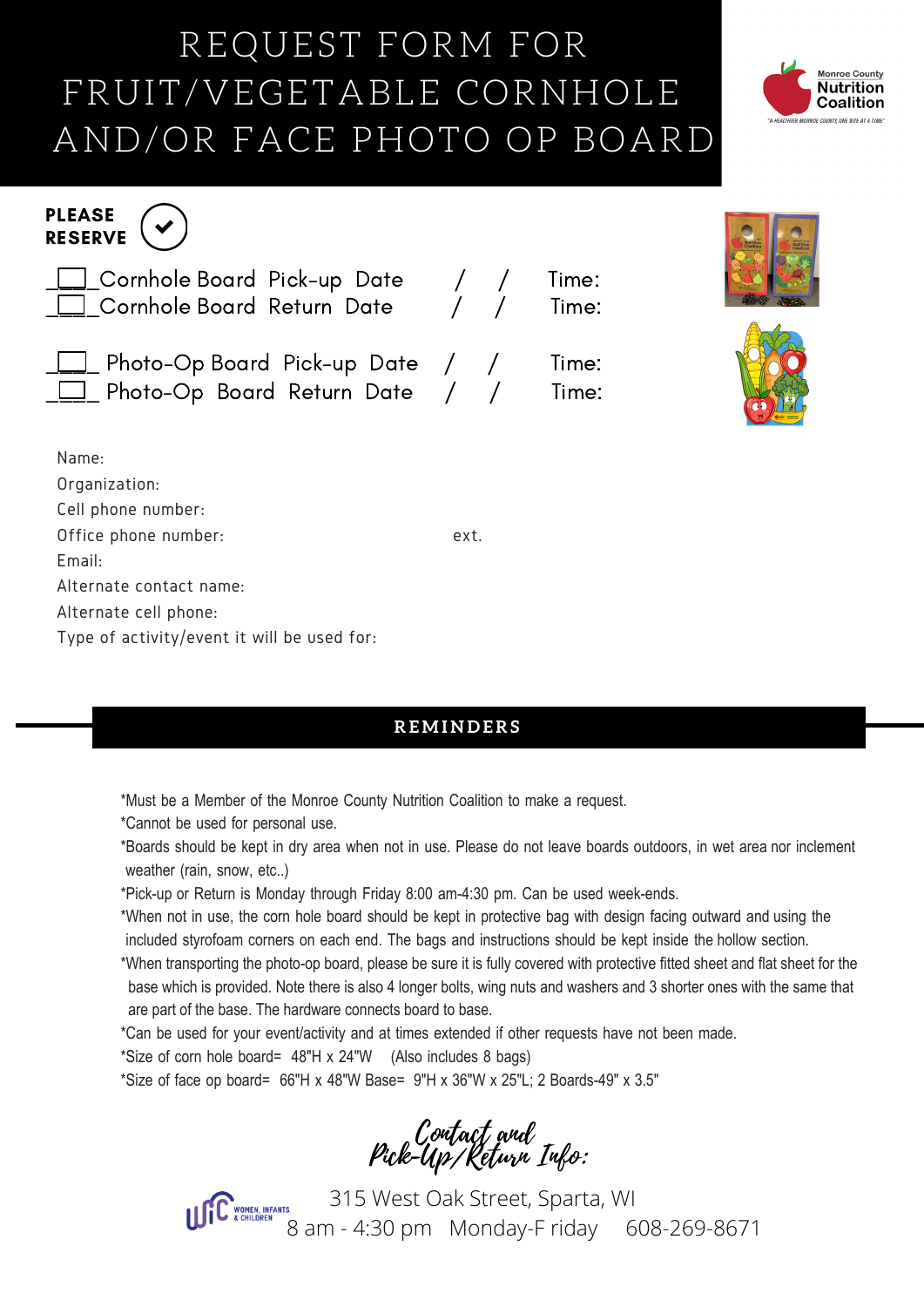## REQUEST FORM FOR FRUIT/VEGETABLE CORNHOLE AND/OR FACE PHOTO OP BOARD



|      | Time:<br>Time:                                                                                                     |                                     |
|------|--------------------------------------------------------------------------------------------------------------------|-------------------------------------|
|      | Time:<br>Time:                                                                                                     |                                     |
|      |                                                                                                                    |                                     |
|      |                                                                                                                    |                                     |
| ext. |                                                                                                                    |                                     |
|      |                                                                                                                    |                                     |
|      |                                                                                                                    |                                     |
|      |                                                                                                                    |                                     |
|      | ├──Cornhole Board Pick-up Date    /  /<br>└──Cornhole Board Return Date    /  /<br>Photo-Op Board Pick-up Date / / | 1_ Photo-Op Board Return Date  /  / |

## **R E M I N D E R S**

\*Must be a Member of the Monroe County Nutrition Coalition to make a request.

- \*Cannot be used for personal use.
- \*Boards should be kept in dry area when not in use. Please do not leave boards outdoors, in wet area nor inclement weather (rain, snow, etc..)
- \*Pick-up or Return is Monday through Friday 8:00 am-4:30 pm. Can be used week-ends.
- \*When not in use, the corn hole board should be kept in protective bag with design facing outward and using the included styrofoam corners on each end. The bags and instructions should be kept inside the hollow section.
- \*When transporting the photo-op board, please be sure it is fully covered with protective fitted sheet and flat sheet for the base which is provided. Note there is also 4 longer bolts, wing nuts and washers and 3 shorter ones with the same that are part of the base. The hardware connects board to base.
- \*Can be used for your event/activity and at times extended if other requests have not been made.
- \*Size of corn hole board= 48"H x 24"W (Also includes 8 bags)
- \*Size of face op board=  $66''H \times 48''W$  Base=  $9''H \times 36''W \times 25''L$ ; 2 Boards-49" x 3.5"

Contact and Pick-Up/Return Info:



 315 West Oak Street, Sparta, WI 8 am - 4:30 pm Monday-F riday 608-269-8671